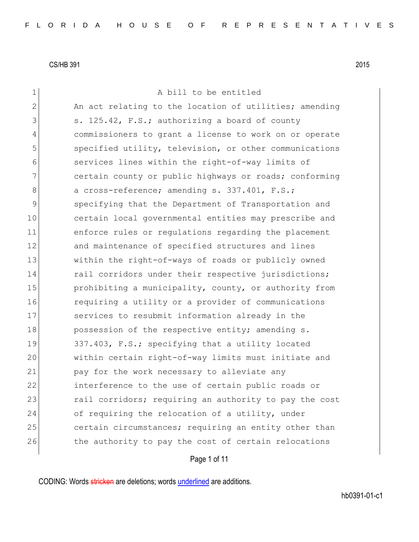| $\mathbf 1$  | A bill to be entitled                                  |
|--------------|--------------------------------------------------------|
| $\mathbf{2}$ | An act relating to the location of utilities; amending |
| 3            | s. 125.42, F.S.; authorizing a board of county         |
| 4            | commissioners to grant a license to work on or operate |
| 5            | specified utility, television, or other communications |
| 6            | services lines within the right-of-way limits of       |
| 7            | certain county or public highways or roads; conforming |
| 8            | a cross-reference; amending s. 337.401, F.S.;          |
| 9            | specifying that the Department of Transportation and   |
| 10           | certain local governmental entities may prescribe and  |
| 11           | enforce rules or regulations regarding the placement   |
| 12           | and maintenance of specified structures and lines      |
| 13           | within the right-of-ways of roads or publicly owned    |
| 14           | rail corridors under their respective jurisdictions;   |
| 15           | prohibiting a municipality, county, or authority from  |
| 16           | requiring a utility or a provider of communications    |
| 17           | services to resubmit information already in the        |
| 18           | possession of the respective entity; amending s.       |
| 19           | 337.403, F.S.; specifying that a utility located       |
| 20           | within certain right-of-way limits must initiate and   |
| 21           | pay for the work necessary to alleviate any            |
| 22           | interference to the use of certain public roads or     |
| 23           | rail corridors; requiring an authority to pay the cost |
| 24           | of requiring the relocation of a utility, under        |
| 25           | certain circumstances; requiring an entity other than  |
| 26           | the authority to pay the cost of certain relocations   |
|              | Page 1 of 11                                           |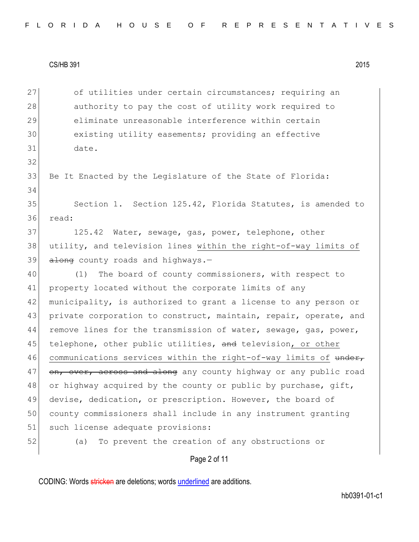32

34

27 of utilities under certain circumstances; requiring an 28 authority to pay the cost of utility work required to 29 eliminate unreasonable interference within certain 30 existing utility easements; providing an effective 31 date.

33 Be It Enacted by the Legislature of the State of Florida:

35 Section 1. Section 125.42, Florida Statutes, is amended to 36 read:

37 125.42 Water, sewage, gas, power, telephone, other 38 utility, and television lines within the right-of-way limits of  $39$  along county roads and highways.-

40 (1) The board of county commissioners, with respect to 41 property located without the corporate limits of any 42 municipality, is authorized to grant a license to any person or 43 private corporation to construct, maintain, repair, operate, and 44 remove lines for the transmission of water, sewage, gas, power, 45 telephone, other public utilities, and television, or other 46 communications services within the right-of-way limits of under, 47 on, over, across and along any county highway or any public road 48 or highway acquired by the county or public by purchase, gift, 49 devise, dedication, or prescription. However, the board of 50 county commissioners shall include in any instrument granting 51 such license adequate provisions:

52 (a) To prevent the creation of any obstructions or

Page 2 of 11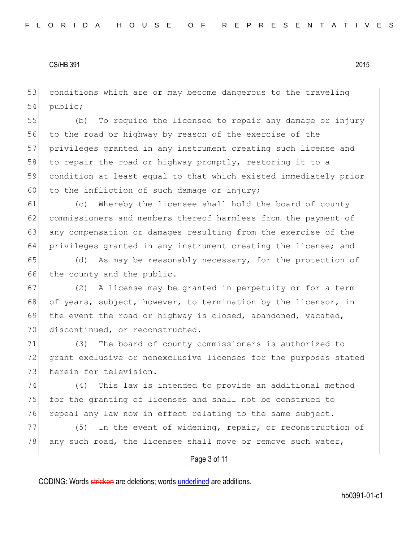53 conditions which are or may become dangerous to the traveling 54 public;

 (b) To require the licensee to repair any damage or injury to the road or highway by reason of the exercise of the privileges granted in any instrument creating such license and 58 to repair the road or highway promptly, restoring it to a condition at least equal to that which existed immediately prior 60 to the infliction of such damage or injury;

61 (c) Whereby the licensee shall hold the board of county 62 commissioners and members thereof harmless from the payment of 63 any compensation or damages resulting from the exercise of the 64 privileges granted in any instrument creating the license; and

65 (d) As may be reasonably necessary, for the protection of 66 the county and the public.

67 (2) A license may be granted in perpetuity or for a term 68 of years, subject, however, to termination by the licensor, in 69 the event the road or highway is closed, abandoned, vacated, 70 discontinued, or reconstructed.

71 (3) The board of county commissioners is authorized to 72 grant exclusive or nonexclusive licenses for the purposes stated 73 herein for television.

74 (4) This law is intended to provide an additional method 75 for the granting of licenses and shall not be construed to 76 repeal any law now in effect relating to the same subject.

77 (5) In the event of widening, repair, or reconstruction of 78 any such road, the licensee shall move or remove such water,

Page 3 of 11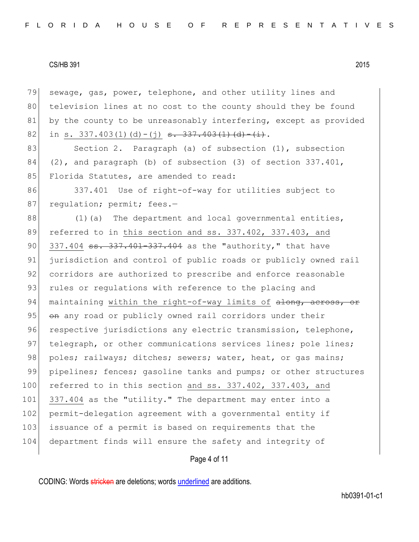79 sewage, gas, power, telephone, and other utility lines and 80 television lines at no cost to the county should they be found 81 by the county to be unreasonably interfering, except as provided 82 in s. 337.403(1)(d)-(j) <del>s. 337.403(1)(d)-(i)</del>. 83 Section 2. Paragraph (a) of subsection (1), subsection 84 (2), and paragraph (b) of subsection (3) of section  $337.401$ , 85 Florida Statutes, are amended to read: 86 337.401 Use of right-of-way for utilities subject to 87 regulation; permit; fees.- $88$  (1)(a) The department and local governmental entities, 89 referred to in this section and ss. 337.402, 337.403, and 90 337.404 ss. 337.401-337.404 as the "authority," that have 91 jurisdiction and control of public roads or publicly owned rail 92 corridors are authorized to prescribe and enforce reasonable 93 rules or regulations with reference to the placing and 94 maintaining within the right-of-way limits of  $\frac{1}{\text{ch}(\alpha)}$  across, or 95 on any road or publicly owned rail corridors under their 96 respective jurisdictions any electric transmission, telephone, 97 telegraph, or other communications services lines; pole lines; 98 poles; railways; ditches; sewers; water, heat, or gas mains; 99 pipelines; fences; gasoline tanks and pumps; or other structures 100 referred to in this section and ss. 337.402, 337.403, and 101 337.404 as the "utility." The department may enter into a 102 permit-delegation agreement with a governmental entity if 103 issuance of a permit is based on requirements that the 104 department finds will ensure the safety and integrity of

Page 4 of 11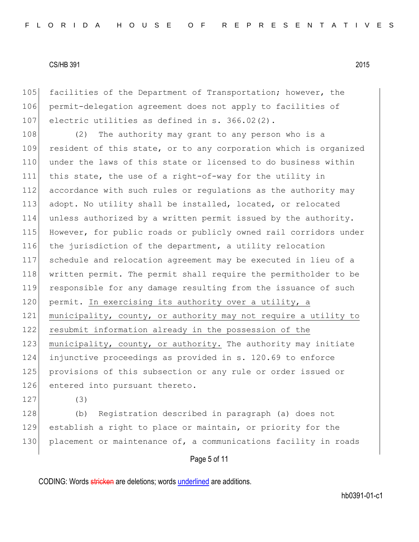105 facilities of the Department of Transportation; however, the 106 permit-delegation agreement does not apply to facilities of 107 electric utilities as defined in s.  $366.02(2)$ .

108 (2) The authority may grant to any person who is a 109 resident of this state, or to any corporation which is organized 110 under the laws of this state or licensed to do business within 111 this state, the use of a right-of-way for the utility in 112 accordance with such rules or regulations as the authority may 113 adopt. No utility shall be installed, located, or relocated 114 unless authorized by a written permit issued by the authority. 115 However, for public roads or publicly owned rail corridors under 116 the jurisdiction of the department, a utility relocation 117 schedule and relocation agreement may be executed in lieu of a 118 written permit. The permit shall require the permitholder to be 119 responsible for any damage resulting from the issuance of such 120 permit. In exercising its authority over a utility, a 121 municipality, county, or authority may not require a utility to 122 resubmit information already in the possession of the 123 municipality, county, or authority. The authority may initiate 124 injunctive proceedings as provided in s. 120.69 to enforce 125 provisions of this subsection or any rule or order issued or 126 entered into pursuant thereto.

 $127$  (3)

128 (b) Registration described in paragraph (a) does not 129 establish a right to place or maintain, or priority for the 130 placement or maintenance of, a communications facility in roads

# Page 5 of 11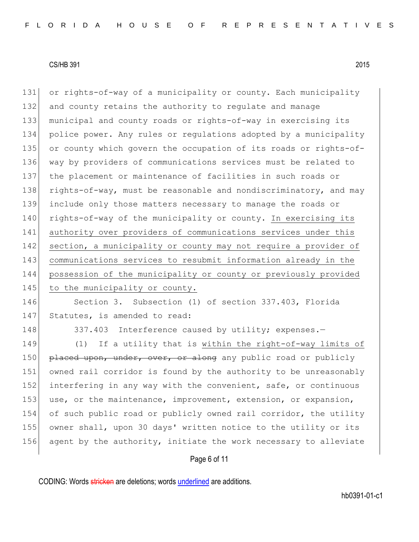or rights-of-way of a municipality or county. Each municipality 132 and county retains the authority to regulate and manage municipal and county roads or rights-of-way in exercising its police power. Any rules or regulations adopted by a municipality or county which govern the occupation of its roads or rights-of- way by providers of communications services must be related to the placement or maintenance of facilities in such roads or 138 rights-of-way, must be reasonable and nondiscriminatory, and may include only those matters necessary to manage the roads or 140 rights-of-way of the municipality or county. In exercising its authority over providers of communications services under this 142 section, a municipality or county may not require a provider of communications services to resubmit information already in the possession of the municipality or county or previously provided 145 to the municipality or county.

146 Section 3. Subsection (1) of section 337.403, Florida 147 Statutes, is amended to read:

148 337.403 Interference caused by utility; expenses.-

149 (1) If a utility that is within the right-of-way limits of 150 placed upon, under, over, or along any public road or publicly 151 owned rail corridor is found by the authority to be unreasonably 152 interfering in any way with the convenient, safe, or continuous 153 use, or the maintenance, improvement, extension, or expansion, 154 of such public road or publicly owned rail corridor, the utility 155 owner shall, upon 30 days' written notice to the utility or its 156 agent by the authority, initiate the work necessary to alleviate

# Page 6 of 11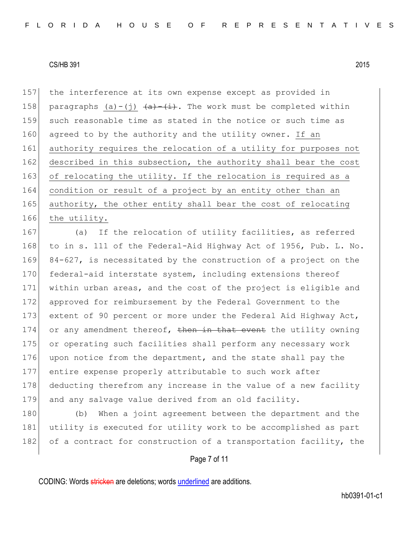157 the interference at its own expense except as provided in 158 paragraphs (a)-(j)  $(a)$ - $(i)$ . The work must be completed within 159 such reasonable time as stated in the notice or such time as 160 agreed to by the authority and the utility owner. If an 161 authority requires the relocation of a utility for purposes not 162 described in this subsection, the authority shall bear the cost 163 of relocating the utility. If the relocation is required as a 164 condition or result of a project by an entity other than an 165 authority, the other entity shall bear the cost of relocating 166 the utility.

167 (a) If the relocation of utility facilities, as referred 168 to in s. 111 of the Federal-Aid Highway Act of 1956, Pub. L. No. 169 84-627, is necessitated by the construction of a project on the 170 federal-aid interstate system, including extensions thereof 171 within urban areas, and the cost of the project is eligible and 172 approved for reimbursement by the Federal Government to the 173 extent of 90 percent or more under the Federal Aid Highway Act, 174 or any amendment thereof, then in that event the utility owning 175 or operating such facilities shall perform any necessary work 176 upon notice from the department, and the state shall pay the 177 entire expense properly attributable to such work after 178 deducting therefrom any increase in the value of a new facility 179 and any salvage value derived from an old facility.

180 (b) When a joint agreement between the department and the 181 utility is executed for utility work to be accomplished as part 182 of a contract for construction of a transportation facility, the

#### Page 7 of 11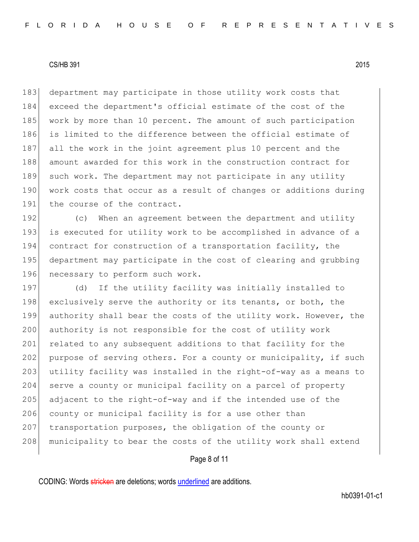183 department may participate in those utility work costs that 184 exceed the department's official estimate of the cost of the 185 work by more than 10 percent. The amount of such participation 186 is limited to the difference between the official estimate of 187 all the work in the joint agreement plus 10 percent and the 188 amount awarded for this work in the construction contract for 189 such work. The department may not participate in any utility 190 work costs that occur as a result of changes or additions during 191 the course of the contract.

192 (c) When an agreement between the department and utility 193 is executed for utility work to be accomplished in advance of a 194 contract for construction of a transportation facility, the 195 department may participate in the cost of clearing and grubbing 196 necessary to perform such work.

197 (d) If the utility facility was initially installed to 198 exclusively serve the authority or its tenants, or both, the 199 authority shall bear the costs of the utility work. However, the 200 authority is not responsible for the cost of utility work 201 related to any subsequent additions to that facility for the 202 purpose of serving others. For a county or municipality, if such 203 utility facility was installed in the right-of-way as a means to 204 serve a county or municipal facility on a parcel of property 205 adjacent to the right-of-way and if the intended use of the 206 county or municipal facility is for a use other than 207 transportation purposes, the obligation of the county or 208 municipality to bear the costs of the utility work shall extend

Page 8 of 11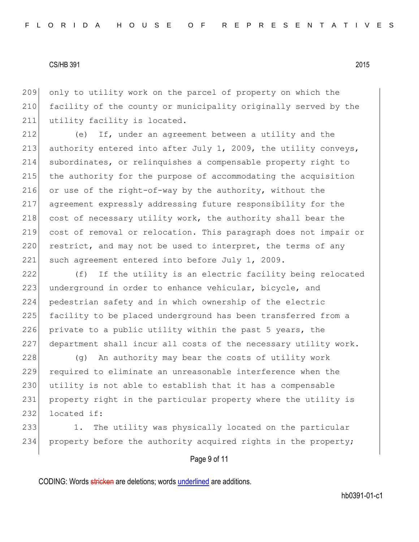209 only to utility work on the parcel of property on which the 210 facility of the county or municipality originally served by the 211 utility facility is located.

212 (e) If, under an agreement between a utility and the 213 authority entered into after July 1, 2009, the utility conveys, 214 subordinates, or relinquishes a compensable property right to 215 the authority for the purpose of accommodating the acquisition 216 or use of the right-of-way by the authority, without the 217 agreement expressly addressing future responsibility for the 218 cost of necessary utility work, the authority shall bear the 219 cost of removal or relocation. This paragraph does not impair or  $220$  restrict, and may not be used to interpret, the terms of any 221 such agreement entered into before July 1, 2009.

222 (f) If the utility is an electric facility being relocated 223 underground in order to enhance vehicular, bicycle, and 224 pedestrian safety and in which ownership of the electric 225 facility to be placed underground has been transferred from a 226 private to a public utility within the past 5 years, the 227 department shall incur all costs of the necessary utility work.

228 (g) An authority may bear the costs of utility work 229 required to eliminate an unreasonable interference when the 230 utility is not able to establish that it has a compensable 231 property right in the particular property where the utility is  $232$  located if:

233 1. The utility was physically located on the particular 234 property before the authority acquired rights in the property;

Page 9 of 11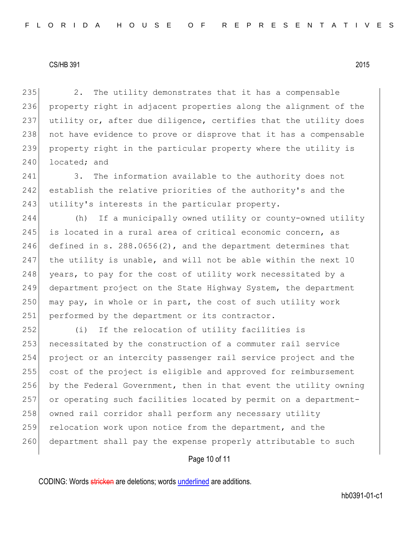235 2. The utility demonstrates that it has a compensable 236 property right in adjacent properties along the alignment of the 237 utility or, after due diligence, certifies that the utility does 238 not have evidence to prove or disprove that it has a compensable 239 property right in the particular property where the utility is 240 located; and

241 3. The information available to the authority does not 242 establish the relative priorities of the authority's and the 243 utility's interests in the particular property.

 (h) If a municipally owned utility or county-owned utility is located in a rural area of critical economic concern, as 246 defined in s. 288.0656(2), and the department determines that the utility is unable, and will not be able within the next 10 248 years, to pay for the cost of utility work necessitated by a department project on the State Highway System, the department may pay, in whole or in part, the cost of such utility work 251 performed by the department or its contractor.

252 (i) If the relocation of utility facilities is 253 necessitated by the construction of a commuter rail service 254 project or an intercity passenger rail service project and the 255 cost of the project is eligible and approved for reimbursement 256 by the Federal Government, then in that event the utility owning 257 or operating such facilities located by permit on a department-258 owned rail corridor shall perform any necessary utility 259 relocation work upon notice from the department, and the 260 department shall pay the expense properly attributable to such

Page 10 of 11